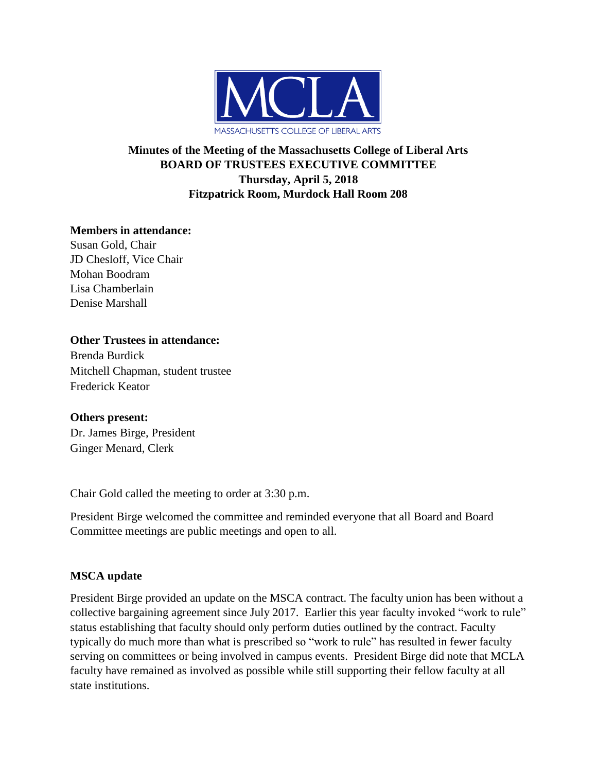

# **Minutes of the Meeting of the Massachusetts College of Liberal Arts BOARD OF TRUSTEES EXECUTIVE COMMITTEE Thursday, April 5, 2018 Fitzpatrick Room, Murdock Hall Room 208**

## **Members in attendance:**

Susan Gold, Chair JD Chesloff, Vice Chair Mohan Boodram Lisa Chamberlain Denise Marshall

## **Other Trustees in attendance:**

Brenda Burdick Mitchell Chapman, student trustee Frederick Keator

## **Others present:**

Dr. James Birge, President Ginger Menard, Clerk

Chair Gold called the meeting to order at 3:30 p.m.

President Birge welcomed the committee and reminded everyone that all Board and Board Committee meetings are public meetings and open to all.

## **MSCA update**

President Birge provided an update on the MSCA contract. The faculty union has been without a collective bargaining agreement since July 2017. Earlier this year faculty invoked "work to rule" status establishing that faculty should only perform duties outlined by the contract. Faculty typically do much more than what is prescribed so "work to rule" has resulted in fewer faculty serving on committees or being involved in campus events. President Birge did note that MCLA faculty have remained as involved as possible while still supporting their fellow faculty at all state institutions.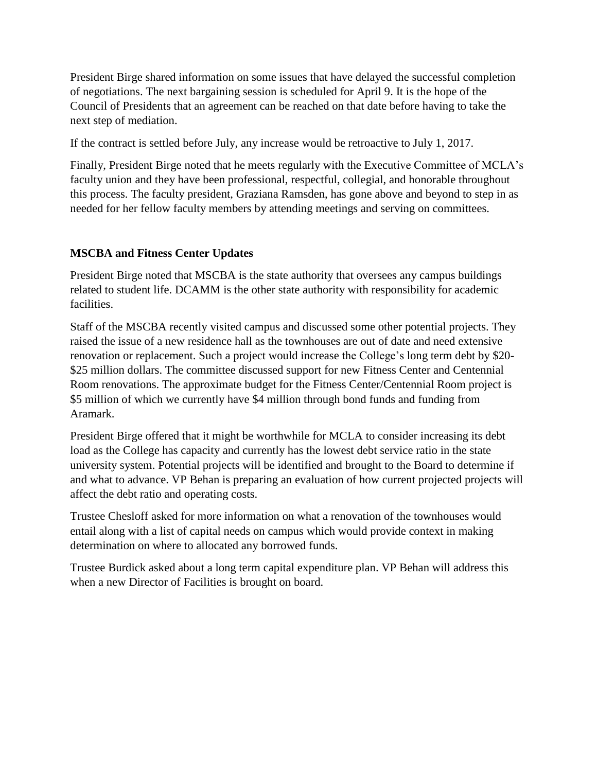President Birge shared information on some issues that have delayed the successful completion of negotiations. The next bargaining session is scheduled for April 9. It is the hope of the Council of Presidents that an agreement can be reached on that date before having to take the next step of mediation.

If the contract is settled before July, any increase would be retroactive to July 1, 2017.

Finally, President Birge noted that he meets regularly with the Executive Committee of MCLA's faculty union and they have been professional, respectful, collegial, and honorable throughout this process. The faculty president, Graziana Ramsden, has gone above and beyond to step in as needed for her fellow faculty members by attending meetings and serving on committees.

## **MSCBA and Fitness Center Updates**

President Birge noted that MSCBA is the state authority that oversees any campus buildings related to student life. DCAMM is the other state authority with responsibility for academic facilities.

Staff of the MSCBA recently visited campus and discussed some other potential projects. They raised the issue of a new residence hall as the townhouses are out of date and need extensive renovation or replacement. Such a project would increase the College's long term debt by \$20- \$25 million dollars. The committee discussed support for new Fitness Center and Centennial Room renovations. The approximate budget for the Fitness Center/Centennial Room project is \$5 million of which we currently have \$4 million through bond funds and funding from Aramark.

President Birge offered that it might be worthwhile for MCLA to consider increasing its debt load as the College has capacity and currently has the lowest debt service ratio in the state university system. Potential projects will be identified and brought to the Board to determine if and what to advance. VP Behan is preparing an evaluation of how current projected projects will affect the debt ratio and operating costs.

Trustee Chesloff asked for more information on what a renovation of the townhouses would entail along with a list of capital needs on campus which would provide context in making determination on where to allocated any borrowed funds.

Trustee Burdick asked about a long term capital expenditure plan. VP Behan will address this when a new Director of Facilities is brought on board.